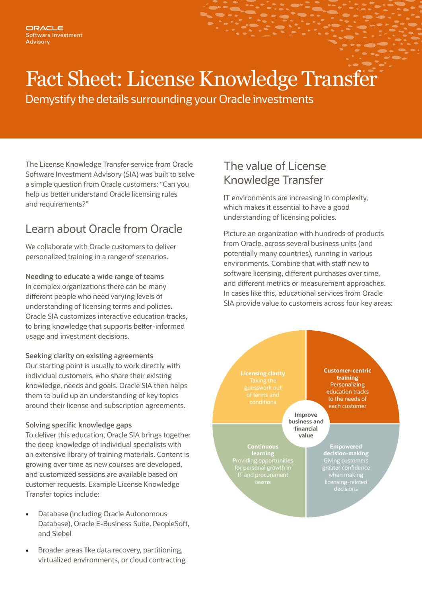## Fact Sheet: License Knowledge Transfer

Demystify the details surrounding your Oracle investments

The License Knowledge Transfer service from Oracle Software Investment Advisory (SIA) was built to solve a simple question from Oracle customers: "Can you help us better understand Oracle licensing rules and requirements?"

# Learn about Oracle from Oracle<br>We collaborate with Oracle customers to deliver

personalized training in a range of scenarios.

#### **Needing to educate a wide range of teams**

In complex organizations there can be many different people who need varying levels of understanding of licensing terms and policies. Oracle SIA customizes interactive education tracks, to bring knowledge that supports better-informed usage and investment decisions.

#### **Seeking clarity on existing agreements**

Our starting point is usually to work directly with individual customers, who share their existing knowledge, needs and goals. Oracle SIA then helps them to build up an understanding of key topics around their license and subscription agreements.

#### **Solving specific knowledge gaps**

To deliver this education, Oracle SIA brings together the deep knowledge of individual specialists with an extensive library of training materials. Content is growing over time as new courses are developed, and customized sessions are available based on customer requests. Example License Knowledge Transfer topics include:

- Database (including Oracle Autonomous Database), Oracle E-Business Suite, PeopleSoft, and Siebel
- Broader areas like data recovery, partitioning, virtualized environments, or cloud contracting

## The value of License Knowledge Transfer

IT environments are increasing in complexity, which makes it essential to have a good understanding of licensing policies.

Picture an organization with hundreds of products from Oracle, across several business units (and potentially many countries), running in various environments. Combine that with staff new to software licensing, different purchases over time, and different metrics or measurement approaches. In cases like this, educational services from Oracle SIA provide value to customers across four key areas:

**Licensing clarity** 

**Customer-centric training**  Personalizing education tracks to the needs of each customer

**Improve business and financial value** 

**Continuous learning** 

**Empowered decision-making**  Giving customers greater confidence